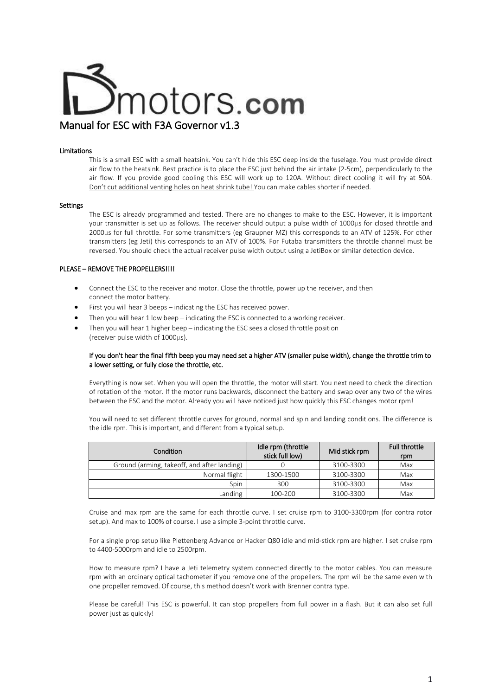# motors.**com** Manual for ESC with F3A Governor v1.3

#### Limitations

This is a small ESC with a small heatsink. You can't hide this ESC deep inside the fuselage. You must provide direct air flow to the heatsink. Best practice is to place the ESC just behind the air intake (2-5cm), perpendicularly to the air flow. If you provide good cooling this ESC will work up to 120A. Without direct cooling it will fry at 50A. Don't cut additional venting holes on heat shrink tube! You can make cables shorter if needed.

#### Settings

The ESC is already programmed and tested. There are no changes to make to the ESC. However, it is important your transmitter is set up as follows. The receiver should output a pulse width of 1000µs for closed throttle and 2000µs for full throttle. For some transmitters (eg Graupner MZ) this corresponds to an ATV of 125%. For other transmitters (eg Jeti) this corresponds to an ATV of 100%. For Futaba transmitters the throttle channel must be reversed. You should check the actual receiver pulse width output using a JetiBox or similar detection device.

### PLEASE – REMOVE THE PROPELLERS!!!!

- Connect the ESC to the receiver and motor. Close the throttle, power up the receiver, and then connect the motor battery.
- First you will hear 3 beeps indicating the ESC has received power.
- Then you will hear 1 low beep indicating the ESC is connected to a working receiver.
- Then you will hear 1 higher beep indicating the ESC sees a closed throttle position (receiver pulse width of 1000µs).

#### If you don't hear the final fifth beep you may need set a higher ATV (smaller pulse width), change the throttle trim to a lower setting, or fully close the throttle, etc.

Everything is now set. When you will open the throttle, the motor will start. You next need to check the direction of rotation of the motor. If the motor runs backwards, disconnect the battery and swap over any two of the wires between the ESC and the motor. Already you will have noticed just how quickly this ESC changes motor rpm!

You will need to set different throttle curves for ground, normal and spin and landing conditions. The difference is the idle rpm. This is important, and different from a typical setup.

| Condition                                   | Idle rpm (throttle<br>stick full low) | Mid stick rpm | <b>Full throttle</b><br>rpm |
|---------------------------------------------|---------------------------------------|---------------|-----------------------------|
| Ground (arming, takeoff, and after landing) |                                       | 3100-3300     | Max                         |
| Normal flight                               | 1300-1500                             | 3100-3300     | Max                         |
| Spin                                        | 300                                   | 3100-3300     | Max                         |
| Landing                                     | 100-200                               | 3100-3300     | Max                         |

Cruise and max rpm are the same for each throttle curve. I set cruise rpm to 3100-3300rpm (for contra rotor setup). And max to 100% of course. I use a simple 3-point throttle curve.

For a single prop setup like Plettenberg Advance or Hacker Q80 idle and mid-stick rpm are higher. I set cruise rpm to 4400-5000rpm and idle to 2500rpm.

How to measure rpm? I have a Jeti telemetry system connected directly to the motor cables. You can measure rpm with an ordinary optical tachometer if you remove one of the propellers. The rpm will be the same even with one propeller removed. Of course, this method doesn't work with Brenner contra type.

Please be careful! This ESC is powerful. It can stop propellers from full power in a flash. But it can also set full power just as quickly!